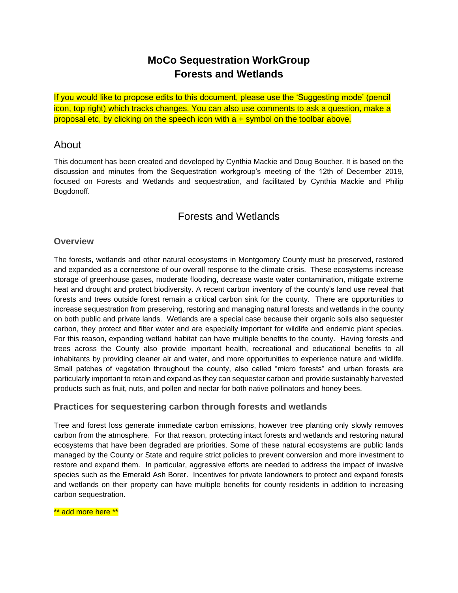# **MoCo Sequestration WorkGroup Forests and Wetlands**

If you would like to propose edits to this document, please use the 'Suggesting mode' (pencil icon, top right) which tracks changes. You can also use comments to ask a question, make a proposal etc, by clicking on the speech icon with a + symbol on the toolbar above.

### About

This document has been created and developed by Cynthia Mackie and Doug Boucher. It is based on the discussion and minutes from the Sequestration workgroup's meeting of the 12th of December 2019, focused on Forests and Wetlands and sequestration, and facilitated by Cynthia Mackie and Philip Bogdonoff.

### Forests and Wetlands

### **Overview**

The forests, wetlands and other natural ecosystems in Montgomery County must be preserved, restored and expanded as a cornerstone of our overall response to the climate crisis. These ecosystems increase storage of greenhouse gases, moderate flooding, decrease waste water contamination, mitigate extreme heat and drought and protect biodiversity. A recent carbon inventory of the county's land use reveal that forests and trees outside forest remain a critical carbon sink for the county. There are opportunities to increase sequestration from preserving, restoring and managing natural forests and wetlands in the county on both public and private lands. Wetlands are a special case because their organic soils also sequester carbon, they protect and filter water and are especially important for wildlife and endemic plant species. For this reason, expanding wetland habitat can have multiple benefits to the county. Having forests and trees across the County also provide important health, recreational and educational benefits to all inhabitants by providing cleaner air and water, and more opportunities to experience nature and wildlife. Small patches of vegetation throughout the county, also called "micro forests" and urban forests are particularly important to retain and expand as they can sequester carbon and provide sustainably harvested products such as fruit, nuts, and pollen and nectar for both native pollinators and honey bees.

### **Practices for sequestering carbon through forests and wetlands**

Tree and forest loss generate immediate carbon emissions, however tree planting only slowly removes carbon from the atmosphere. For that reason, protecting intact forests and wetlands and restoring natural ecosystems that have been degraded are priorities. Some of these natural ecosystems are public lands managed by the County or State and require strict policies to prevent conversion and more investment to restore and expand them. In particular, aggressive efforts are needed to address the impact of invasive species such as the Emerald Ash Borer. Incentives for private landowners to protect and expand forests and wetlands on their property can have multiple benefits for county residents in addition to increasing carbon sequestration.

\*\* add more here \*\*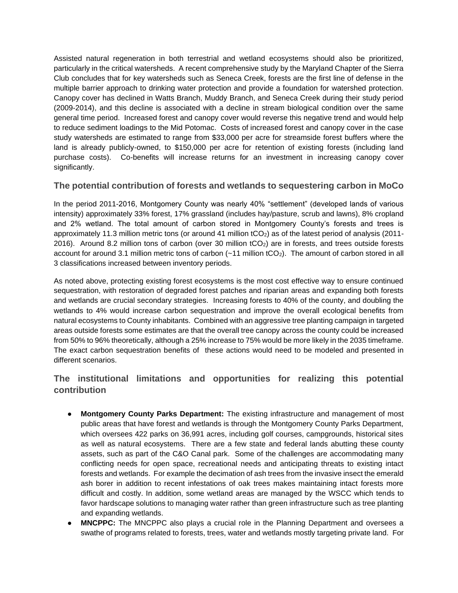Assisted natural regeneration in both terrestrial and wetland ecosystems should also be prioritized, particularly in the critical watersheds. A recent comprehensive study by the Maryland Chapter of the Sierra Club concludes that for key watersheds such as Seneca Creek, forests are the first line of defense in the multiple barrier approach to drinking water protection and provide a foundation for watershed protection. Canopy cover has declined in Watts Branch, Muddy Branch, and Seneca Creek during their study period (2009-2014), and this decline is associated with a decline in stream biological condition over the same general time period. Increased forest and canopy cover would reverse this negative trend and would help to reduce sediment loadings to the Mid Potomac. Costs of increased forest and canopy cover in the case study watersheds are estimated to range from \$33,000 per acre for streamside forest buffers where the land is already publicly-owned, to \$150,000 per acre for retention of existing forests (including land purchase costs). Co-benefits will increase returns for an investment in increasing canopy cover significantly.

### **The potential contribution of forests and wetlands to sequestering carbon in MoCo**

In the period 2011-2016, Montgomery County was nearly 40% "settlement" (developed lands of various intensity) approximately 33% forest, 17% grassland (includes hay/pasture, scrub and lawns), 8% cropland and 2% wetland. The total amount of carbon stored in Montgomery County's forests and trees is approximately 11.3 million metric tons (or around 41 million tCO<sub>2</sub>) as of the latest period of analysis (2011-2016). Around 8.2 million tons of carbon (over 30 million tCO<sub>2</sub>) are in forests, and trees outside forests account for around 3.1 million metric tons of carbon (~11 million tCO2). The amount of carbon stored in all 3 classifications increased between inventory periods.

As noted above, protecting existing forest ecosystems is the most cost effective way to ensure continued sequestration, with restoration of degraded forest patches and riparian areas and expanding both forests and wetlands are crucial secondary strategies. Increasing forests to 40% of the county, and doubling the wetlands to 4% would increase carbon sequestration and improve the overall ecological benefits from natural ecosystems to County inhabitants. Combined with an aggressive tree planting campaign in targeted areas outside forests some estimates are that the overall tree canopy across the county could be increased from 50% to 96% theoretically, although a 25% increase to 75% would be more likely in the 2035 timeframe. The exact carbon sequestration benefits of these actions would need to be modeled and presented in different scenarios.

### **The institutional limitations and opportunities for realizing this potential contribution**

- **Montgomery County Parks Department:** The existing infrastructure and management of most public areas that have forest and wetlands is through the Montgomery County Parks Department, which oversees 422 parks on 36,991 acres, including golf courses, campgrounds, historical sites as well as natural ecosystems. There are a few state and federal lands abutting these county assets, such as part of the C&O Canal park. Some of the challenges are accommodating many conflicting needs for open space, recreational needs and anticipating threats to existing intact forests and wetlands. For example the decimation of ash trees from the invasive insect the emerald ash borer in addition to recent infestations of oak trees makes maintaining intact forests more difficult and costly. In addition, some wetland areas are managed by the WSCC which tends to favor hardscape solutions to managing water rather than green infrastructure such as tree planting and expanding wetlands.
- **MNCPPC:** The MNCPPC also plays a crucial role in the Planning Department and oversees a swathe of programs related to forests, trees, water and wetlands mostly targeting private land. For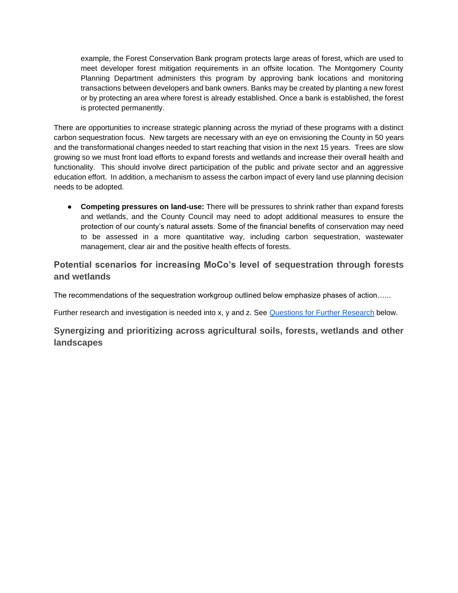example, the Forest Conservation Bank program protects large areas of forest, which are used to meet developer forest mitigation requirements in an offsite location. The Montgomery County Planning Department administers this program by approving bank locations and monitoring transactions between developers and bank owners. Banks may be created by planting a new forest or by protecting an area where forest is already established. Once a bank is established, the forest is protected permanently.

There are opportunities to increase strategic planning across the myriad of these programs with a distinct carbon sequestration focus. New targets are necessary with an eye on envisioning the County in 50 years and the transformational changes needed to start reaching that vision in the next 15 years. Trees are slow growing so we must front load efforts to expand forests and wetlands and increase their overall health and functionality. This should involve direct participation of the public and private sector and an aggressive education effort. In addition, a mechanism to assess the carbon impact of every land use planning decision needs to be adopted.

● **Competing pressures on land-use:** There will be pressures to shrink rather than expand forests and wetlands, and the County Council may need to adopt additional measures to ensure the protection of our county's natural assets. Some of the financial benefits of conservation may need to be assessed in a more quantitative way, including carbon sequestration, wastewater management, clear air and the positive health effects of forests.

**Potential scenarios for increasing MoCo's level of sequestration through forests and wetlands**

The recommendations of the sequestration workgroup outlined below emphasize phases of action…...

Further research and investigation is needed into x, y and z. See [Questions for Further Research](#page-12-0) below.

**Synergizing and prioritizing across agricultural soils, forests, wetlands and other landscapes**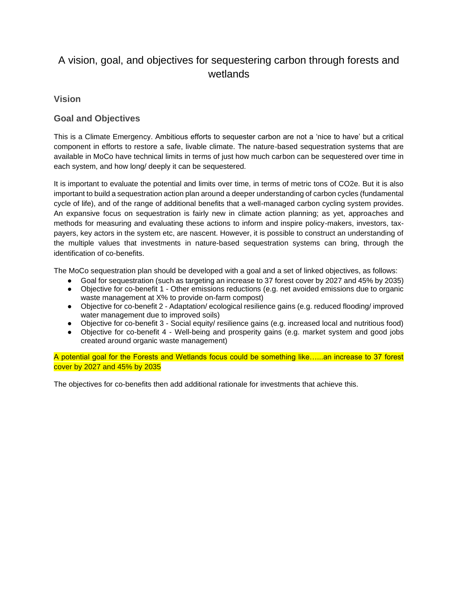# A vision, goal, and objectives for sequestering carbon through forests and wetlands

### **Vision**

### **Goal and Objectives**

This is a Climate Emergency. Ambitious efforts to sequester carbon are not a 'nice to have' but a critical component in efforts to restore a safe, livable climate. The nature-based sequestration systems that are available in MoCo have technical limits in terms of just how much carbon can be sequestered over time in each system, and how long/ deeply it can be sequestered.

It is important to evaluate the potential and limits over time, in terms of metric tons of CO2e. But it is also important to build a sequestration action plan around a deeper understanding of carbon cycles (fundamental cycle of life), and of the range of additional benefits that a well-managed carbon cycling system provides. An expansive focus on sequestration is fairly new in climate action planning; as yet, approaches and methods for measuring and evaluating these actions to inform and inspire policy-makers, investors, taxpayers, key actors in the system etc, are nascent. However, it is possible to construct an understanding of the multiple values that investments in nature-based sequestration systems can bring, through the identification of co-benefits.

The MoCo sequestration plan should be developed with a goal and a set of linked objectives, as follows:

- Goal for sequestration (such as targeting an increase to 37 forest cover by 2027 and 45% by 2035)
- Objective for co-benefit 1 Other emissions reductions (e.g. net avoided emissions due to organic waste management at X% to provide on-farm compost)
- Objective for co-benefit 2 Adaptation/ ecological resilience gains (e.g. reduced flooding/ improved water management due to improved soils)
- Objective for co-benefit 3 Social equity/ resilience gains (e.g. increased local and nutritious food)
- Objective for co-benefit 4 Well-being and prosperity gains (e.g. market system and good jobs created around organic waste management)

A potential goal for the Forests and Wetlands focus could be something like…...an increase to 37 forest cover by 2027 and 45% by 2035

The objectives for co-benefits then add additional rationale for investments that achieve this.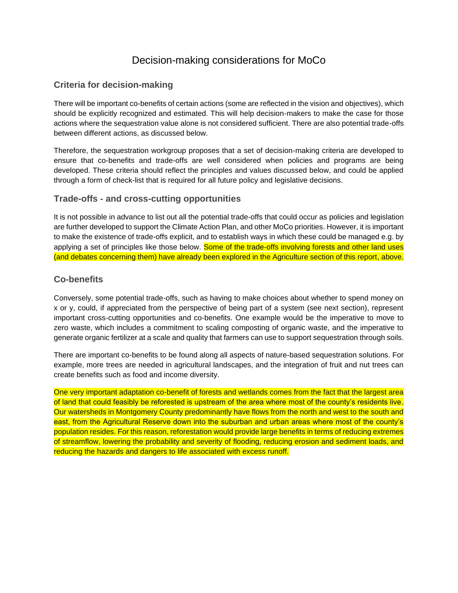## Decision-making considerations for MoCo

### **Criteria for decision-making**

There will be important co-benefits of certain actions (some are reflected in the vision and objectives), which should be explicitly recognized and estimated. This will help decision-makers to make the case for those actions where the sequestration value alone is not considered sufficient. There are also potential trade-offs between different actions, as discussed below.

Therefore, the sequestration workgroup proposes that a set of decision-making criteria are developed to ensure that co-benefits and trade-offs are well considered when policies and programs are being developed. These criteria should reflect the principles and values discussed below, and could be applied through a form of check-list that is required for all future policy and legislative decisions.

#### **Trade-offs - and cross-cutting opportunities**

It is not possible in advance to list out all the potential trade-offs that could occur as policies and legislation are further developed to support the Climate Action Plan, and other MoCo priorities. However, it is important to make the existence of trade-offs explicit, and to establish ways in which these could be managed e.g. by applying a set of principles like those below. Some of the trade-offs involving forests and other land uses (and debates concerning them) have already been explored in the Agriculture section of this report, above.

### **Co-benefits**

Conversely, some potential trade-offs, such as having to make choices about whether to spend money on x or y, could, if appreciated from the perspective of being part of a system (see next section), represent important cross-cutting opportunities and co-benefits. One example would be the imperative to move to zero waste, which includes a commitment to scaling composting of organic waste, and the imperative to generate organic fertilizer at a scale and quality that farmers can use to support sequestration through soils.

There are important co-benefits to be found along all aspects of nature-based sequestration solutions. For example, more trees are needed in agricultural landscapes, and the integration of fruit and nut trees can create benefits such as food and income diversity.

One very important adaptation co-benefit of forests and wetlands comes from the fact that the largest area of land that could feasibly be reforested is upstream of the area where most of the county's residents live. Our watersheds in Montgomery County predominantly have flows from the north and west to the south and east, from the Agricultural Reserve down into the suburban and urban areas where most of the county's population resides. For this reason, reforestation would provide large benefits in terms of reducing extremes of streamflow, lowering the probability and severity of flooding, reducing erosion and sediment loads, and reducing the hazards and dangers to life associated with excess runoff.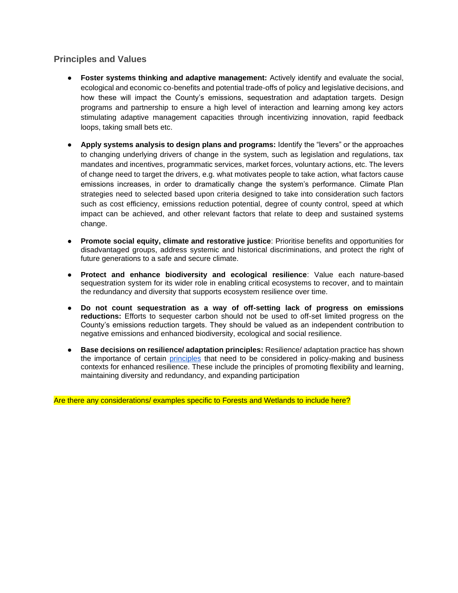### **Principles and Values**

- **Foster systems thinking and adaptive management:** Actively identify and evaluate the social, ecological and economic co-benefits and potential trade-offs of policy and legislative decisions, and how these will impact the County's emissions, sequestration and adaptation targets. Design programs and partnership to ensure a high level of interaction and learning among key actors stimulating adaptive management capacities through incentivizing innovation, rapid feedback loops, taking small bets etc.
- **Apply systems analysis to design plans and programs:** Identify the "levers" or the approaches to changing underlying drivers of change in the system, such as legislation and regulations, tax mandates and incentives, programmatic services, market forces, voluntary actions, etc. The levers of change need to target the drivers, e.g. what motivates people to take action, what factors cause emissions increases, in order to dramatically change the system's performance. Climate Plan strategies need to selected based upon criteria designed to take into consideration such factors such as cost efficiency, emissions reduction potential, degree of county control, speed at which impact can be achieved, and other relevant factors that relate to deep and sustained systems change.
- **Promote social equity, climate and restorative justice**: Prioritise benefits and opportunities for disadvantaged groups, address systemic and historical discriminations, and protect the right of future generations to a safe and secure climate.
- **Protect and enhance biodiversity and ecological resilience**: Value each nature-based sequestration system for its wider role in enabling critical ecosystems to recover, and to maintain the redundancy and diversity that supports ecosystem resilience over time.
- **Do not count sequestration as a way of off-setting lack of progress on emissions reductions:** Efforts to sequester carbon should not be used to off-set limited progress on the County's emissions reduction targets. They should be valued as an independent contribution to negative emissions and enhanced biodiversity, ecological and social resilience.
- **Base decisions on resilience/ adaptation principles:** Resilience/ adaptation practice has shown the importance of certain [principles](https://www.stockholmresilience.org/research/research-news/2015-04-08-seven-principles-for-building-resilience.html) that need to be considered in policy-making and business contexts for enhanced resilience. These include the principles of promoting flexibility and learning, maintaining diversity and redundancy, and expanding participation

Are there any considerations/ examples specific to Forests and Wetlands to include here?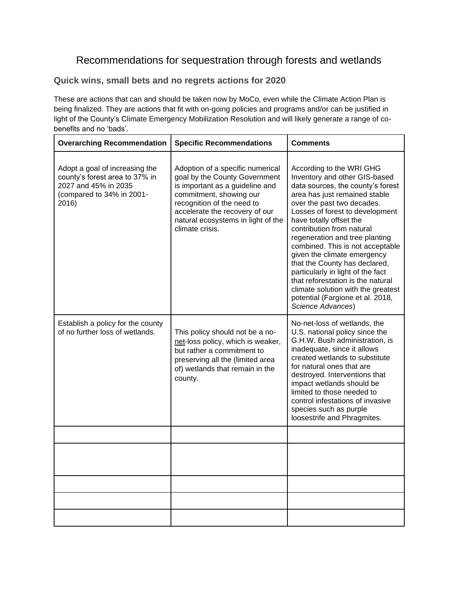## Recommendations for sequestration through forests and wetlands

### **Quick wins, small bets and no regrets actions for 2020**

These are actions that can and should be taken now by MoCo, even while the Climate Action Plan is being finalized. They are actions that fit with on-going policies and programs and/or can be justified in light of the County's Climate Emergency Mobilization Resolution and will likely generate a range of cobenefits and no 'bads'.

| <b>Overarching Recommendation</b>                                                                                              | <b>Specific Recommendations</b>                                                                                                                                                                                                                          | <b>Comments</b>                                                                                                                                                                                                                                                                                                                                                                                                                                                                                                                                                         |
|--------------------------------------------------------------------------------------------------------------------------------|----------------------------------------------------------------------------------------------------------------------------------------------------------------------------------------------------------------------------------------------------------|-------------------------------------------------------------------------------------------------------------------------------------------------------------------------------------------------------------------------------------------------------------------------------------------------------------------------------------------------------------------------------------------------------------------------------------------------------------------------------------------------------------------------------------------------------------------------|
| Adopt a goal of increasing the<br>county's forest area to 37% in<br>2027 and 45% in 2035<br>(compared to 34% in 2001-<br>2016) | Adoption of a specific numerical<br>goal by the County Government<br>is important as a guideline and<br>commitment, showing our<br>recognition of the need to<br>accelerate the recovery of our<br>natural ecosystems in light of the<br>climate crisis. | According to the WRI GHG<br>Inventory and other GIS-based<br>data sources, the county's forest<br>area has just remained stable<br>over the past two decades.<br>Losses of forest to development<br>have totally offset the<br>contribution from natural<br>regeneration and tree planting<br>combined. This is not acceptable<br>given the climate emergency<br>that the County has declared,<br>particularly in light of the fact<br>that reforestation is the natural<br>climate solution with the greatest<br>potential (Fargione et al. 2018,<br>Science Advances) |
| Establish a policy for the county<br>of no further loss of wetlands.                                                           | This policy should not be a no-<br>net-loss policy, which is weaker,<br>but rather a commitment to<br>preserving all the (limited area<br>of) wetlands that remain in the<br>county.                                                                     | No-net-loss of wetlands, the<br>U.S. national policy since the<br>G.H.W. Bush administration, is<br>inadequate, since it allows<br>created wetlands to substitute<br>for natural ones that are<br>destroyed. Interventions that<br>impact wetlands should be<br>limited to those needed to<br>control infestations of invasive<br>species such as purple<br>loosestrife and Phragmites.                                                                                                                                                                                 |
|                                                                                                                                |                                                                                                                                                                                                                                                          |                                                                                                                                                                                                                                                                                                                                                                                                                                                                                                                                                                         |
|                                                                                                                                |                                                                                                                                                                                                                                                          |                                                                                                                                                                                                                                                                                                                                                                                                                                                                                                                                                                         |
|                                                                                                                                |                                                                                                                                                                                                                                                          |                                                                                                                                                                                                                                                                                                                                                                                                                                                                                                                                                                         |
|                                                                                                                                |                                                                                                                                                                                                                                                          |                                                                                                                                                                                                                                                                                                                                                                                                                                                                                                                                                                         |
|                                                                                                                                |                                                                                                                                                                                                                                                          |                                                                                                                                                                                                                                                                                                                                                                                                                                                                                                                                                                         |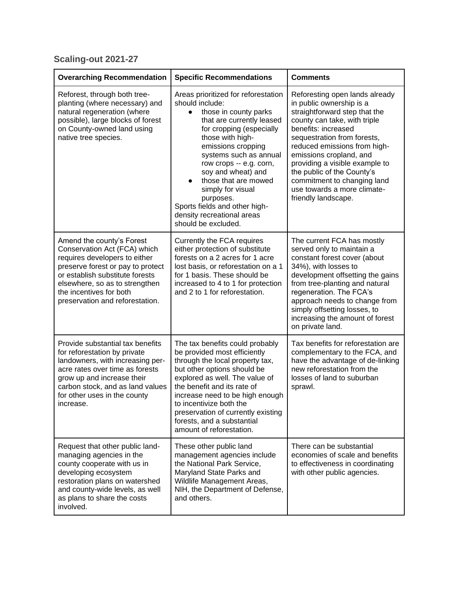## **Scaling-out 2021-27**

| <b>Overarching Recommendation</b>                                                                                                                                                                                                                                  | <b>Specific Recommendations</b>                                                                                                                                                                                                                                                                                                                                                                                            | <b>Comments</b>                                                                                                                                                                                                                                                                                                                                                                                   |
|--------------------------------------------------------------------------------------------------------------------------------------------------------------------------------------------------------------------------------------------------------------------|----------------------------------------------------------------------------------------------------------------------------------------------------------------------------------------------------------------------------------------------------------------------------------------------------------------------------------------------------------------------------------------------------------------------------|---------------------------------------------------------------------------------------------------------------------------------------------------------------------------------------------------------------------------------------------------------------------------------------------------------------------------------------------------------------------------------------------------|
| Reforest, through both tree-<br>planting (where necessary) and<br>natural regeneration (where<br>possible), large blocks of forest<br>on County-owned land using<br>native tree species.                                                                           | Areas prioritized for reforestation<br>should include:<br>those in county parks<br>$\bullet$<br>that are currently leased<br>for cropping (especially<br>those with high-<br>emissions cropping<br>systems such as annual<br>row crops -- e.g. corn,<br>soy and wheat) and<br>those that are mowed<br>simply for visual<br>purposes.<br>Sports fields and other high-<br>density recreational areas<br>should be excluded. | Reforesting open lands already<br>in public ownership is a<br>straightforward step that the<br>county can take, with triple<br>benefits: increased<br>sequestration from forests,<br>reduced emissions from high-<br>emissions cropland, and<br>providing a visible example to<br>the public of the County's<br>commitment to changing land<br>use towards a more climate-<br>friendly landscape. |
| Amend the county's Forest<br>Conservation Act (FCA) which<br>requires developers to either<br>preserve forest or pay to protect<br>or establish substitute forests<br>elsewhere, so as to strengthen<br>the incentives for both<br>preservation and reforestation. | Currently the FCA requires<br>either protection of substitute<br>forests on a 2 acres for 1 acre<br>lost basis, or reforestation on a 1<br>for 1 basis. These should be<br>increased to 4 to 1 for protection<br>and 2 to 1 for reforestation.                                                                                                                                                                             | The current FCA has mostly<br>served only to maintain a<br>constant forest cover (about<br>34%), with losses to<br>development offsetting the gains<br>from tree-planting and natural<br>regeneration. The FCA's<br>approach needs to change from<br>simply offsetting losses, to<br>increasing the amount of forest<br>on private land.                                                          |
| Provide substantial tax benefits<br>for reforestation by private<br>landowners, with increasing per-<br>acre rates over time as forests<br>grow up and increase their<br>carbon stock, and as land values<br>for other uses in the county<br>increase.             | The tax benefits could probably<br>be provided most efficiently<br>through the local property tax,<br>but other options should be<br>explored as well. The value of<br>the benefit and its rate of<br>increase need to be high enough<br>to incentivize both the<br>preservation of currently existing<br>forests, and a substantial<br>amount of reforestation.                                                           | Tax benefits for reforestation are<br>complementary to the FCA, and<br>have the advantage of de-linking<br>new reforestation from the<br>losses of land to suburban<br>sprawl.                                                                                                                                                                                                                    |
| Request that other public land-<br>managing agencies in the<br>county cooperate with us in<br>developing ecosystem<br>restoration plans on watershed<br>and county-wide levels, as well<br>as plans to share the costs<br>involved.                                | These other public land<br>management agencies include<br>the National Park Service,<br>Maryland State Parks and<br>Wildlife Management Areas,<br>NIH, the Department of Defense,<br>and others.                                                                                                                                                                                                                           | There can be substantial<br>economies of scale and benefits<br>to effectiveness in coordinating<br>with other public agencies.                                                                                                                                                                                                                                                                    |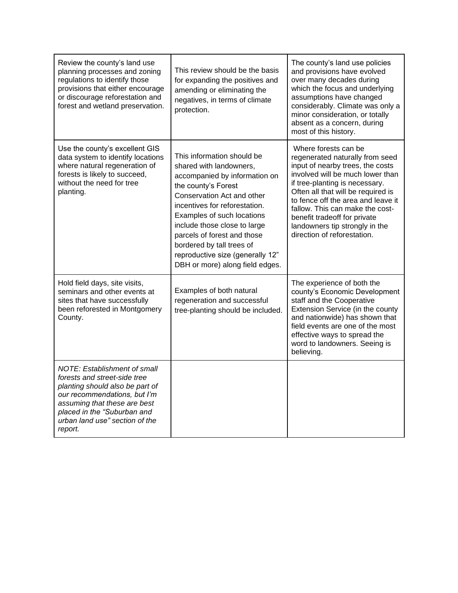| Review the county's land use<br>planning processes and zoning<br>regulations to identify those<br>provisions that either encourage<br>or discourage reforestation and<br>forest and wetland preservation.                                   | This review should be the basis<br>for expanding the positives and<br>amending or eliminating the<br>negatives, in terms of climate<br>protection.                                                                                                                                                                                                                            | The county's land use policies<br>and provisions have evolved<br>over many decades during<br>which the focus and underlying<br>assumptions have changed<br>considerably. Climate was only a<br>minor consideration, or totally<br>absent as a concern, during<br>most of this history.                                                                                            |
|---------------------------------------------------------------------------------------------------------------------------------------------------------------------------------------------------------------------------------------------|-------------------------------------------------------------------------------------------------------------------------------------------------------------------------------------------------------------------------------------------------------------------------------------------------------------------------------------------------------------------------------|-----------------------------------------------------------------------------------------------------------------------------------------------------------------------------------------------------------------------------------------------------------------------------------------------------------------------------------------------------------------------------------|
| Use the county's excellent GIS<br>data system to identify locations<br>where natural regeneration of<br>forests is likely to succeed,<br>without the need for tree<br>planting.                                                             | This information should be<br>shared with landowners,<br>accompanied by information on<br>the county's Forest<br>Conservation Act and other<br>incentives for reforestation.<br>Examples of such locations<br>include those close to large<br>parcels of forest and those<br>bordered by tall trees of<br>reproductive size (generally 12"<br>DBH or more) along field edges. | Where forests can be<br>regenerated naturally from seed<br>input of nearby trees, the costs<br>involved will be much lower than<br>if tree-planting is necessary.<br>Often all that will be required is<br>to fence off the area and leave it<br>fallow. This can make the cost-<br>benefit tradeoff for private<br>landowners tip strongly in the<br>direction of reforestation. |
| Hold field days, site visits,<br>seminars and other events at<br>sites that have successfully<br>been reforested in Montgomery<br>County.                                                                                                   | Examples of both natural<br>regeneration and successful<br>tree-planting should be included.                                                                                                                                                                                                                                                                                  | The experience of both the<br>county's Economic Development<br>staff and the Cooperative<br>Extension Service (in the county<br>and nationwide) has shown that<br>field events are one of the most<br>effective ways to spread the<br>word to landowners. Seeing is<br>believing.                                                                                                 |
| NOTE: Establishment of small<br>forests and street-side tree<br>planting should also be part of<br>our recommendations, but I'm<br>assuming that these are best<br>placed in the "Suburban and<br>urban land use" section of the<br>report. |                                                                                                                                                                                                                                                                                                                                                                               |                                                                                                                                                                                                                                                                                                                                                                                   |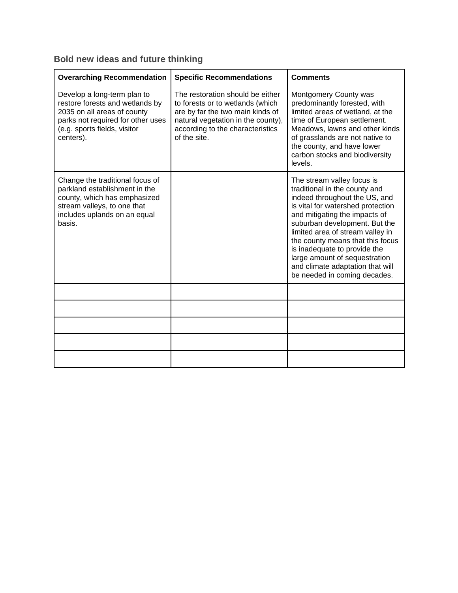### **Bold new ideas and future thinking**

| <b>Overarching Recommendation</b>                                                                                                                                               | <b>Specific Recommendations</b>                                                                                                                                                                    | <b>Comments</b>                                                                                                                                                                                                                                                                                                                                                                                                  |
|---------------------------------------------------------------------------------------------------------------------------------------------------------------------------------|----------------------------------------------------------------------------------------------------------------------------------------------------------------------------------------------------|------------------------------------------------------------------------------------------------------------------------------------------------------------------------------------------------------------------------------------------------------------------------------------------------------------------------------------------------------------------------------------------------------------------|
| Develop a long-term plan to<br>restore forests and wetlands by<br>2035 on all areas of county<br>parks not required for other uses<br>(e.g. sports fields, visitor<br>centers). | The restoration should be either<br>to forests or to wetlands (which<br>are by far the two main kinds of<br>natural vegetation in the county),<br>according to the characteristics<br>of the site. | Montgomery County was<br>predominantly forested, with<br>limited areas of wetland, at the<br>time of European settlement.<br>Meadows, lawns and other kinds<br>of grasslands are not native to<br>the county, and have lower<br>carbon stocks and biodiversity<br>levels.                                                                                                                                        |
| Change the traditional focus of<br>parkland establishment in the<br>county, which has emphasized<br>stream valleys, to one that<br>includes uplands on an equal<br>basis.       |                                                                                                                                                                                                    | The stream valley focus is<br>traditional in the county and<br>indeed throughout the US, and<br>is vital for watershed protection<br>and mitigating the impacts of<br>suburban development. But the<br>limited area of stream valley in<br>the county means that this focus<br>is inadequate to provide the<br>large amount of sequestration<br>and climate adaptation that will<br>be needed in coming decades. |
|                                                                                                                                                                                 |                                                                                                                                                                                                    |                                                                                                                                                                                                                                                                                                                                                                                                                  |
|                                                                                                                                                                                 |                                                                                                                                                                                                    |                                                                                                                                                                                                                                                                                                                                                                                                                  |
|                                                                                                                                                                                 |                                                                                                                                                                                                    |                                                                                                                                                                                                                                                                                                                                                                                                                  |
|                                                                                                                                                                                 |                                                                                                                                                                                                    |                                                                                                                                                                                                                                                                                                                                                                                                                  |
|                                                                                                                                                                                 |                                                                                                                                                                                                    |                                                                                                                                                                                                                                                                                                                                                                                                                  |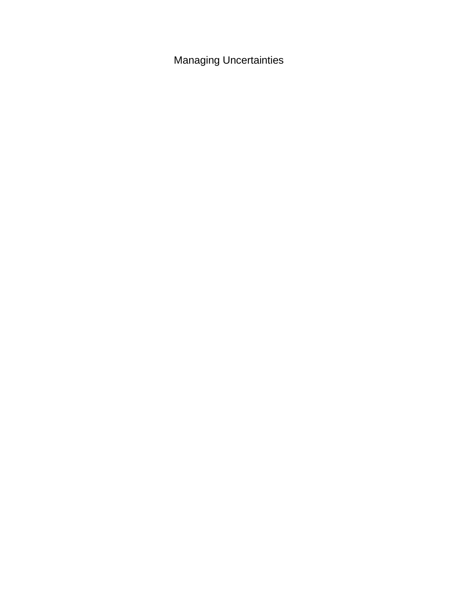Managing Uncertainties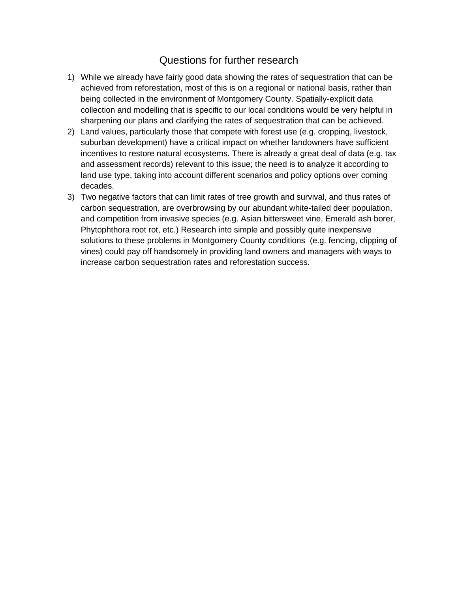## Questions for further research

- <span id="page-12-0"></span>1) While we already have fairly good data showing the rates of sequestration that can be achieved from reforestation, most of this is on a regional or national basis, rather than being collected in the environment of Montgomery County. Spatially-explicit data collection and modelling that is specific to our local conditions would be very helpful in sharpening our plans and clarifying the rates of sequestration that can be achieved.
- 2) Land values, particularly those that compete with forest use (e.g. cropping, livestock, suburban development) have a critical impact on whether landowners have sufficient incentives to restore natural ecosystems. There is already a great deal of data (e.g. tax and assessment records) relevant to this issue; the need is to analyze it according to land use type, taking into account different scenarios and policy options over coming decades.
- 3) Two negative factors that can limit rates of tree growth and survival, and thus rates of carbon sequestration, are overbrowsing by our abundant white-tailed deer population, and competition from invasive species (e.g. Asian bittersweet vine, Emerald ash borer, Phytophthora root rot, etc.) Research into simple and possibly quite inexpensive solutions to these problems in Montgomery County conditions (e.g. fencing, clipping of vines) could pay off handsomely in providing land owners and managers with ways to increase carbon sequestration rates and reforestation success.